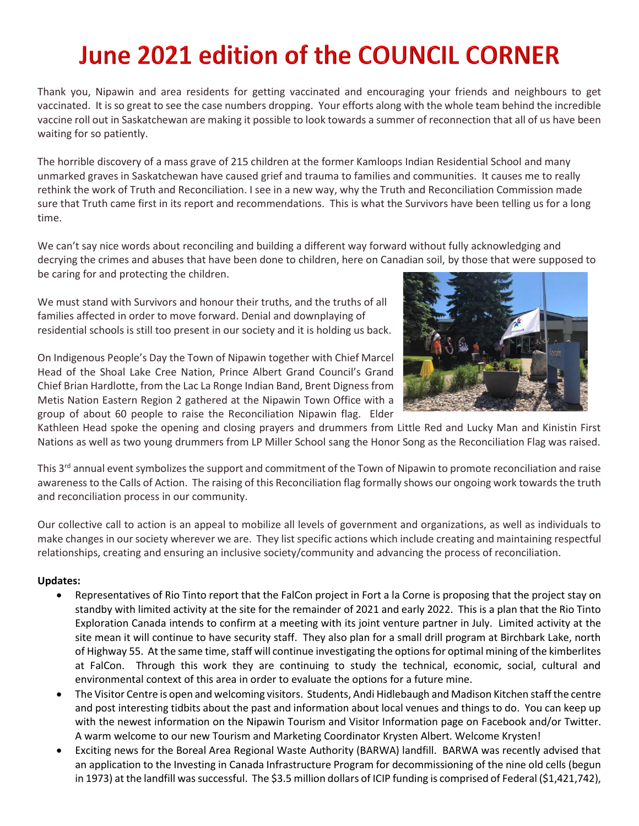## June 2021 edition of the COUNCIL CORNER

Thank you, Nipawin and area residents for getting vaccinated and encouraging your friends and neighbours to get vaccinated. It is so great to see the case numbers dropping. Your efforts along with the whole team behind the incredible vaccine roll out in Saskatchewan are making it possible to look towards a summer of reconnection that all of us have been waiting for so patiently.

The horrible discovery of a mass grave of 215 children at the former Kamloops Indian Residential School and many unmarked graves in Saskatchewan have caused grief and trauma to families and communities. It causes me to really rethink the work of Truth and Reconciliation. I see in a new way, why the Truth and Reconciliation Commission made sure that Truth came first in its report and recommendations. This is what the Survivors have been telling us for a long time.

We can't say nice words about reconciling and building a different way forward without fully acknowledging and decrying the crimes and abuses that have been done to children, here on Canadian soil, by those that were supposed to be caring for and protecting the children.

We must stand with Survivors and honour their truths, and the truths of all families affected in order to move forward. Denial and downplaying of residential schools is still too present in our society and it is holding us back.

On Indigenous People's Day the Town of Nipawin together with Chief Marcel Head of the Shoal Lake Cree Nation, Prince Albert Grand Council's Grand Chief Brian Hardlotte, from the Lac La Ronge Indian Band, Brent Digness from Metis Nation Eastern Region 2 gathered at the Nipawin Town Office with a group of about 60 people to raise the Reconciliation Nipawin flag. Elder



Kathleen Head spoke the opening and closing prayers and drummers from Little Red and Lucky Man and Kinistin First Nations as well as two young drummers from LP Miller School sang the Honor Song as the Reconciliation Flag was raised.

This  $3<sup>rd</sup>$  annual event symbolizes the support and commitment of the Town of Nipawin to promote reconciliation and raise awareness to the Calls of Action. The raising of this Reconciliation flag formally shows our ongoing work towards the truth and reconciliation process in our community.

Our collective call to action is an appeal to mobilize all levels of government and organizations, as well as individuals to make changes in our society wherever we are. They list specific actions which include creating and maintaining respectful relationships, creating and ensuring an inclusive society/community and advancing the process of reconciliation.

## **Updates:**

- Representatives of Rio Tinto report that the FalCon project in Fort a la Corne is proposing that the project stay on standby with limited activity at the site for the remainder of 2021 and early 2022. This is a plan that the Rio Tinto Exploration Canada intends to confirm at a meeting with its joint venture partner in July. Limited activity at the site mean it will continue to have security staff. They also plan for a small drill program at Birchbark Lake, north of Highway 55. At the same time, staff will continue investigating the options for optimal mining of the kimberlites at FalCon. Through this work they are continuing to study the technical, economic, social, cultural and environmental context of this area in order to evaluate the options for a future mine.
- The Visitor Centre is open and welcoming visitors. Students, Andi Hidlebaugh and Madison Kitchen staff the centre and post interesting tidbits about the past and information about local venues and things to do. You can keep up with the newest information on the Nipawin Tourism and Visitor Information page on Facebook and/or Twitter. A warm welcome to our new Tourism and Marketing Coordinator Krysten Albert. Welcome Krysten!
- Exciting news for the Boreal Area Regional Waste Authority (BARWA) landfill. BARWA was recently advised that an application to the Investing in Canada Infrastructure Program for decommissioning of the nine old cells (begun in 1973) at the landfill was successful. The \$3.5 million dollars of ICIP funding is comprised of Federal (\$1,421,742),